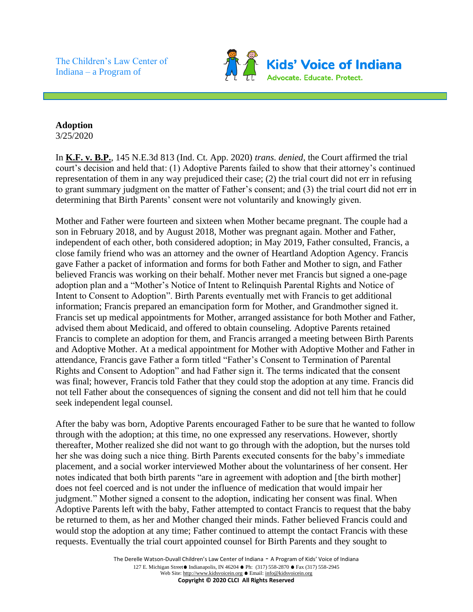The Children's Law Center of Indiana – a Program of



## **Adoption**

3/25/2020

In **K.F. v. B.P.**, 145 N.E.3d 813 (Ind. Ct. App. 2020) *trans. denied*, the Court affirmed the trial court's decision and held that: (1) Adoptive Parents failed to show that their attorney's continued representation of them in any way prejudiced their case; (2) the trial court did not err in refusing to grant summary judgment on the matter of Father's consent; and (3) the trial court did not err in determining that Birth Parents' consent were not voluntarily and knowingly given.

Mother and Father were fourteen and sixteen when Mother became pregnant. The couple had a son in February 2018, and by August 2018, Mother was pregnant again. Mother and Father, independent of each other, both considered adoption; in May 2019, Father consulted, Francis, a close family friend who was an attorney and the owner of Heartland Adoption Agency. Francis gave Father a packet of information and forms for both Father and Mother to sign, and Father believed Francis was working on their behalf. Mother never met Francis but signed a one-page adoption plan and a "Mother's Notice of Intent to Relinquish Parental Rights and Notice of Intent to Consent to Adoption". Birth Parents eventually met with Francis to get additional information; Francis prepared an emancipation form for Mother, and Grandmother signed it. Francis set up medical appointments for Mother, arranged assistance for both Mother and Father, advised them about Medicaid, and offered to obtain counseling. Adoptive Parents retained Francis to complete an adoption for them, and Francis arranged a meeting between Birth Parents and Adoptive Mother. At a medical appointment for Mother with Adoptive Mother and Father in attendance, Francis gave Father a form titled "Father's Consent to Termination of Parental Rights and Consent to Adoption" and had Father sign it. The terms indicated that the consent was final; however, Francis told Father that they could stop the adoption at any time. Francis did not tell Father about the consequences of signing the consent and did not tell him that he could seek independent legal counsel.

After the baby was born, Adoptive Parents encouraged Father to be sure that he wanted to follow through with the adoption; at this time, no one expressed any reservations. However, shortly thereafter, Mother realized she did not want to go through with the adoption, but the nurses told her she was doing such a nice thing. Birth Parents executed consents for the baby's immediate placement, and a social worker interviewed Mother about the voluntariness of her consent. Her notes indicated that both birth parents "are in agreement with adoption and [the birth mother] does not feel coerced and is not under the influence of medication that would impair her judgment." Mother signed a consent to the adoption, indicating her consent was final. When Adoptive Parents left with the baby, Father attempted to contact Francis to request that the baby be returned to them, as her and Mother changed their minds. Father believed Francis could and would stop the adoption at any time; Father continued to attempt the contact Francis with these requests. Eventually the trial court appointed counsel for Birth Parents and they sought to

> The Derelle Watson-Duvall Children's Law Center of Indiana - A Program of Kids' Voice of Indiana 127 E. Michigan Street ■ Indianapolis, IN 46204 ● Ph: (317) 558-2870 ● Fax (317) 558-2945 Web Site: http://www.kidsvoicein.org • Email: info@kidsvoicein.org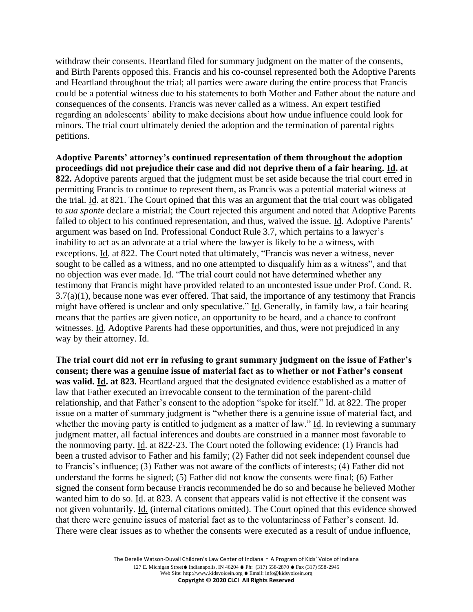withdraw their consents. Heartland filed for summary judgment on the matter of the consents, and Birth Parents opposed this. Francis and his co-counsel represented both the Adoptive Parents and Heartland throughout the trial; all parties were aware during the entire process that Francis could be a potential witness due to his statements to both Mother and Father about the nature and consequences of the consents. Francis was never called as a witness. An expert testified regarding an adolescents' ability to make decisions about how undue influence could look for minors. The trial court ultimately denied the adoption and the termination of parental rights petitions.

**Adoptive Parents' attorney's continued representation of them throughout the adoption proceedings did not prejudice their case and did not deprive them of a fair hearing. Id. at 822.** Adoptive parents argued that the judgment must be set aside because the trial court erred in permitting Francis to continue to represent them, as Francis was a potential material witness at the trial. Id. at 821. The Court opined that this was an argument that the trial court was obligated to *sua sponte* declare a mistrial; the Court rejected this argument and noted that Adoptive Parents failed to object to his continued representation, and thus, waived the issue. Id. Adoptive Parents' argument was based on Ind. Professional Conduct Rule 3.7, which pertains to a lawyer's inability to act as an advocate at a trial where the lawyer is likely to be a witness, with exceptions. Id. at 822. The Court noted that ultimately, "Francis was never a witness, never sought to be called as a witness, and no one attempted to disqualify him as a witness", and that no objection was ever made. Id. "The trial court could not have determined whether any testimony that Francis might have provided related to an uncontested issue under Prof. Cond. R. 3.7(a)(1), because none was ever offered. That said, the importance of any testimony that Francis might have offered is unclear and only speculative." Id. Generally, in family law, a fair hearing means that the parties are given notice, an opportunity to be heard, and a chance to confront witnesses. Id. Adoptive Parents had these opportunities, and thus, were not prejudiced in any way by their attorney. Id.

**The trial court did not err in refusing to grant summary judgment on the issue of Father's consent; there was a genuine issue of material fact as to whether or not Father's consent was valid. Id. at 823.** Heartland argued that the designated evidence established as a matter of law that Father executed an irrevocable consent to the termination of the parent-child relationship, and that Father's consent to the adoption "spoke for itself." Id. at 822. The proper issue on a matter of summary judgment is "whether there is a genuine issue of material fact, and whether the moving party is entitled to judgment as a matter of law." Id. In reviewing a summary judgment matter, all factual inferences and doubts are construed in a manner most favorable to the nonmoving party. Id. at 822-23. The Court noted the following evidence: (1) Francis had been a trusted advisor to Father and his family; (2) Father did not seek independent counsel due to Francis's influence; (3) Father was not aware of the conflicts of interests; (4) Father did not understand the forms he signed; (5) Father did not know the consents were final; (6) Father signed the consent form because Francis recommended he do so and because he believed Mother wanted him to do so. Id. at 823. A consent that appears valid is not effective if the consent was not given voluntarily. Id. (internal citations omitted). The Court opined that this evidence showed that there were genuine issues of material fact as to the voluntariness of Father's consent. Id. There were clear issues as to whether the consents were executed as a result of undue influence,

> The Derelle Watson-Duvall Children's Law Center of Indiana - A Program of Kids' Voice of Indiana 127 E. Michigan Street ● Indianapolis, IN 46204 ● Ph: (317) 558-2870 ● Fax (317) 558-2945 Web Site: http://www.kidsvoicein.org • Email: info@kidsvoicein.org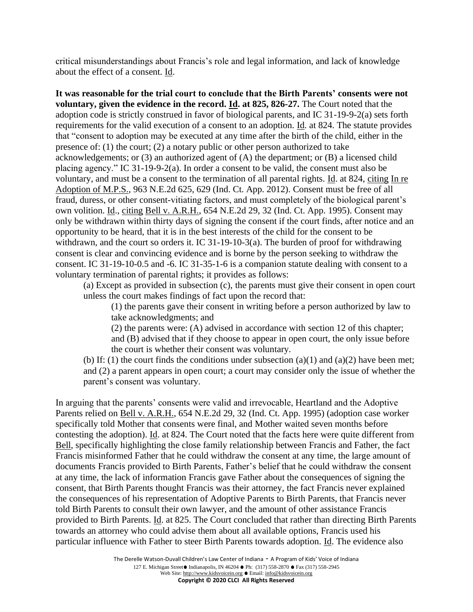critical misunderstandings about Francis's role and legal information, and lack of knowledge about the effect of a consent. Id.

**It was reasonable for the trial court to conclude that the Birth Parents' consents were not voluntary, given the evidence in the record. Id. at 825, 826-27.** The Court noted that the adoption code is strictly construed in favor of biological parents, and IC 31-19-9-2(a) sets forth requirements for the valid execution of a consent to an adoption. Id. at 824. The statute provides that "consent to adoption may be executed at any time after the birth of the child, either in the presence of: (1) the court; (2) a notary public or other person authorized to take acknowledgements; or (3) an authorized agent of (A) the department; or (B) a licensed child placing agency." IC 31-19-9-2(a). In order a consent to be valid, the consent must also be voluntary, and must be a consent to the termination of all parental rights. Id. at 824, citing In re Adoption of M.P.S., 963 N.E.2d 625, 629 (Ind. Ct. App. 2012). Consent must be free of all fraud, duress, or other consent-vitiating factors, and must completely of the biological parent's own volition. Id., citing Bell v. A.R.H., 654 N.E.2d 29, 32 (Ind. Ct. App. 1995). Consent may only be withdrawn within thirty days of signing the consent if the court finds, after notice and an opportunity to be heard, that it is in the best interests of the child for the consent to be withdrawn, and the court so orders it. IC 31-19-10-3(a). The burden of proof for withdrawing consent is clear and convincing evidence and is borne by the person seeking to withdraw the consent. IC 31-19-10-0.5 and -6. IC 31-35-1-6 is a companion statute dealing with consent to a voluntary termination of parental rights; it provides as follows:

(a) Except as provided in subsection (c), the parents must give their consent in open court unless the court makes findings of fact upon the record that:

(1) the parents gave their consent in writing before a person authorized by law to take acknowledgments; and

(2) the parents were: (A) advised in accordance with section 12 of this chapter; and (B) advised that if they choose to appear in open court, the only issue before the court is whether their consent was voluntary.

(b) If: (1) the court finds the conditions under subsection  $(a)(1)$  and  $(a)(2)$  have been met; and (2) a parent appears in open court; a court may consider only the issue of whether the parent's consent was voluntary.

In arguing that the parents' consents were valid and irrevocable, Heartland and the Adoptive Parents relied on Bell v. A.R.H., 654 N.E.2d 29, 32 (Ind. Ct. App. 1995) (adoption case worker specifically told Mother that consents were final, and Mother waited seven months before contesting the adoption). Id. at 824. The Court noted that the facts here were quite different from Bell, specifically highlighting the close family relationship between Francis and Father, the fact Francis misinformed Father that he could withdraw the consent at any time, the large amount of documents Francis provided to Birth Parents, Father's belief that he could withdraw the consent at any time, the lack of information Francis gave Father about the consequences of signing the consent, that Birth Parents thought Francis was their attorney, the fact Francis never explained the consequences of his representation of Adoptive Parents to Birth Parents, that Francis never told Birth Parents to consult their own lawyer, and the amount of other assistance Francis provided to Birth Parents. Id. at 825. The Court concluded that rather than directing Birth Parents towards an attorney who could advise them about all available options, Francis used his particular influence with Father to steer Birth Parents towards adoption. Id. The evidence also

> The Derelle Watson-Duvall Children's Law Center of Indiana - A Program of Kids' Voice of Indiana 127 E. Michigan Street ■ Indianapolis, IN 46204 ● Ph: (317) 558-2870 ● Fax (317) 558-2945 Web Site: http://www.kidsvoicein.org • Email: info@kidsvoicein.org

## **Copyright © 2020 CLCI All Rights Reserved**